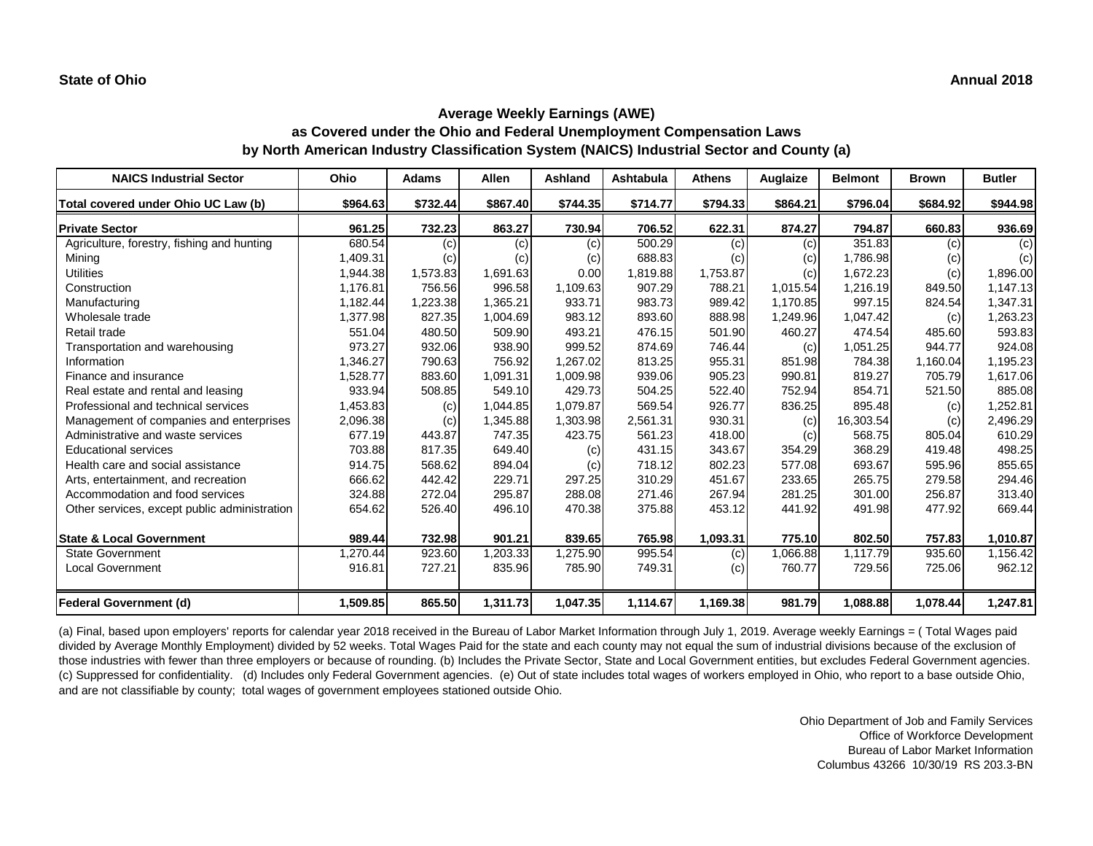| <b>NAICS Industrial Sector</b>               | Ohio     | <b>Adams</b> | <b>Allen</b> | <b>Ashland</b> | Ashtabula | <b>Athens</b> | Auglaize | <b>Belmont</b> | <b>Brown</b> | <b>Butler</b> |
|----------------------------------------------|----------|--------------|--------------|----------------|-----------|---------------|----------|----------------|--------------|---------------|
| Total covered under Ohio UC Law (b)          | \$964.63 | \$732.44     | \$867.40     | \$744.35       | \$714.77  | \$794.33      | \$864.21 | \$796.04       | \$684.92     | \$944.98      |
| <b>Private Sector</b>                        | 961.25   | 732.23       | 863.27       | 730.94         | 706.52    | 622.31        | 874.27   | 794.87         | 660.83       | 936.69        |
| Agriculture, forestry, fishing and hunting   | 680.54   | (c)          | (c)          | (c)            | 500.29    | (c)           | (c)      | 351.83         | (c)          | (c)           |
| Mining                                       | 1,409.31 | (c)          | $\left( $    | (c)            | 688.83    | (c)           | (c)      | 1,786.98       | (c)          | (c)           |
| <b>Utilities</b>                             | 1,944.38 | 1,573.83     | 1,691.63     | 0.00           | 1,819.88  | 1,753.87      | (c)      | 1,672.23       | (c)          | 1,896.00      |
| Construction                                 | 1,176.81 | 756.56       | 996.58       | 1,109.63       | 907.29    | 788.21        | 1,015.54 | 1,216.19       | 849.50       | 1,147.13      |
| Manufacturing                                | 1,182.44 | 1,223.38     | 1,365.21     | 933.71         | 983.73    | 989.42        | 1,170.85 | 997.15         | 824.54       | 1,347.31      |
| Wholesale trade                              | 1,377.98 | 827.35       | 1,004.69     | 983.12         | 893.60    | 888.98        | 1,249.96 | 1,047.42       | (c)          | 1,263.23      |
| Retail trade                                 | 551.04   | 480.50       | 509.90       | 493.21         | 476.15    | 501.90        | 460.27   | 474.54         | 485.60       | 593.83        |
| Transportation and warehousing               | 973.27   | 932.06       | 938.90       | 999.52         | 874.69    | 746.44        | (c)      | 1,051.25       | 944.77       | 924.08        |
| Information                                  | 1,346.27 | 790.63       | 756.92       | 1,267.02       | 813.25    | 955.31        | 851.98   | 784.38         | 1,160.04     | 1,195.23      |
| Finance and insurance                        | 1,528.77 | 883.60       | 1,091.31     | 1,009.98       | 939.06    | 905.23        | 990.81   | 819.27         | 705.79       | 1,617.06      |
| Real estate and rental and leasing           | 933.94   | 508.85       | 549.10       | 429.73         | 504.25    | 522.40        | 752.94   | 854.71         | 521.50       | 885.08        |
| Professional and technical services          | 1,453.83 | (c)          | 1,044.85     | 1,079.87       | 569.54    | 926.77        | 836.25   | 895.48         | (c)          | 1,252.81      |
| Management of companies and enterprises      | 2,096.38 | (c)          | 1,345.88     | 1,303.98       | 2,561.31  | 930.31        | (c)      | 16,303.54      | (c)          | 2,496.29      |
| Administrative and waste services            | 677.19   | 443.87       | 747.35       | 423.75         | 561.23    | 418.00        | (c)      | 568.75         | 805.04       | 610.29        |
| <b>Educational services</b>                  | 703.88   | 817.35       | 649.40       | (c)            | 431.15    | 343.67        | 354.29   | 368.29         | 419.48       | 498.25        |
| Health care and social assistance            | 914.75   | 568.62       | 894.04       | (c)            | 718.12    | 802.23        | 577.08   | 693.67         | 595.96       | 855.65        |
| Arts, entertainment, and recreation          | 666.62   | 442.42       | 229.71       | 297.25         | 310.29    | 451.67        | 233.65   | 265.75         | 279.58       | 294.46        |
| Accommodation and food services              | 324.88   | 272.04       | 295.87       | 288.08         | 271.46    | 267.94        | 281.25   | 301.00         | 256.87       | 313.40        |
| Other services, except public administration | 654.62   | 526.40       | 496.10       | 470.38         | 375.88    | 453.12        | 441.92   | 491.98         | 477.92       | 669.44        |
| <b>State &amp; Local Government</b>          | 989.44   | 732.98       | 901.21       | 839.65         | 765.98    | 1,093.31      | 775.10   | 802.50         | 757.83       | 1,010.87      |
| <b>State Government</b>                      | ,270.44  | 923.60       | ,203.33      | ,275.90        | 995.54    | (c)           | 88.860,1 | 1,117.79       | 935.60       | 1,156.42      |
| <b>Local Government</b>                      | 916.81   | 727.21       | 835.96       | 785.90         | 749.31    | (c)           | 760.77   | 729.56         | 725.06       | 962.12        |
| <b>Federal Government (d)</b>                | 1,509.85 | 865.50       | 1,311.73     | 1,047.35       | 1,114.67  | 1,169.38      | 981.79   | 1,088.88       | 1,078.44     | 1,247.81      |

(a) Final, based upon employers' reports for calendar year 2018 received in the Bureau of Labor Market Information through July 1, 2019. Average weekly Earnings = ( Total Wages paid divided by Average Monthly Employment) divided by 52 weeks. Total Wages Paid for the state and each county may not equal the sum of industrial divisions because of the exclusion of those industries with fewer than three employers or because of rounding. (b) Includes the Private Sector, State and Local Government entities, but excludes Federal Government agencies. (c) Suppressed for confidentiality. (d) Includes only Federal Government agencies. (e) Out of state includes total wages of workers employed in Ohio, who report to a base outside Ohio, and are not classifiable by county; total wages of government employees stationed outside Ohio.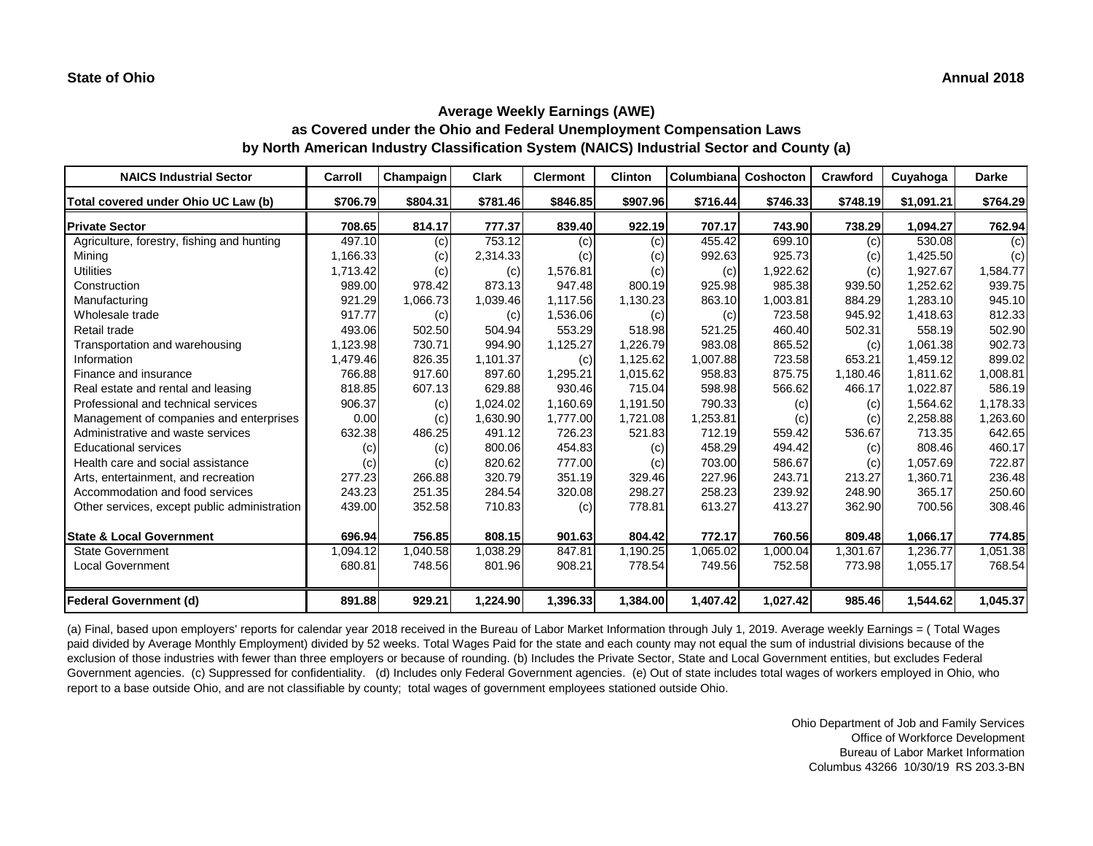| <b>NAICS Industrial Sector</b>               | Carroll  | Champaign | <b>Clark</b> | <b>Clermont</b> | <b>Clinton</b> | Columbiana | Coshocton | <b>Crawford</b> | Cuyahoga   | <b>Darke</b> |
|----------------------------------------------|----------|-----------|--------------|-----------------|----------------|------------|-----------|-----------------|------------|--------------|
| Total covered under Ohio UC Law (b)          | \$706.79 | \$804.31  | \$781.46     | \$846.85        | \$907.96       | \$716.44   | \$746.33  | \$748.19        | \$1,091.21 | \$764.29     |
| <b>Private Sector</b>                        | 708.65   | 814.17    | 777.37       | 839.40          | 922.19         | 707.17     | 743.90    | 738.29          | 1,094.27   | 762.94       |
| Agriculture, forestry, fishing and hunting   | 497.10   | (c)       | 753.12       | (c)             | (C)            | 455.42     | 699.10    | (c)             | 530.08     | (c)          |
| Mining                                       | 1,166.33 | (c)       | 2,314.33     | (c)             | (c)            | 992.63     | 925.73    | (c)             | 1,425.50   | (c)          |
| <b>Utilities</b>                             | 1,713.42 | (c)       | (c)          | 1,576.81        | (c)            | (c)        | 1,922.62  | (c)             | 1,927.67   | 1,584.77     |
| Construction                                 | 989.00   | 978.42    | 873.13       | 947.48          | 800.19         | 925.98     | 985.38    | 939.50          | 1,252.62   | 939.75       |
| Manufacturing                                | 921.29   | 1,066.73  | 1,039.46     | 1,117.56        | 1,130.23       | 863.10     | 1,003.81  | 884.29          | 1,283.10   | 945.10       |
| Wholesale trade                              | 917.77   | (c)       | (c)          | 1,536.06        | (c)            | (c)        | 723.58    | 945.92          | 1,418.63   | 812.33       |
| Retail trade                                 | 493.06   | 502.50    | 504.94       | 553.29          | 518.98         | 521.25     | 460.40    | 502.31          | 558.19     | 502.90       |
| Transportation and warehousing               | 1,123.98 | 730.71    | 994.90       | 1,125.27        | 1,226.79       | 983.08     | 865.52    | (c)             | 1,061.38   | 902.73       |
| Information                                  | 1,479.46 | 826.35    | 1,101.37     | (c)             | 1,125.62       | 1,007.88   | 723.58    | 653.21          | 1,459.12   | 899.02       |
| Finance and insurance                        | 766.88   | 917.60    | 897.60       | 1,295.21        | 1,015.62       | 958.83     | 875.75    | 1,180.46        | 1,811.62   | 1,008.81     |
| Real estate and rental and leasing           | 818.85   | 607.13    | 629.88       | 930.46          | 715.04         | 598.98     | 566.62    | 466.17          | 1,022.87   | 586.19       |
| Professional and technical services          | 906.37   | (c)       | 1,024.02     | 1,160.69        | 1,191.50       | 790.33     | (c)       | (c)             | 1,564.62   | 1,178.33     |
| Management of companies and enterprises      | 0.00     | (c)       | 1,630.90     | 1,777.00        | 1,721.08       | 1,253.81   | (c)       | (c)             | 2,258.88   | 1,263.60     |
| Administrative and waste services            | 632.38   | 486.25    | 491.12       | 726.23          | 521.83         | 712.19     | 559.42    | 536.67          | 713.35     | 642.65       |
| <b>Educational services</b>                  | (c)      | (c)       | 800.06       | 454.83          | (c)            | 458.29     | 494.42    | (c)             | 808.46     | 460.17       |
| Health care and social assistance            | (c)      | (c)       | 820.62       | 777.00          | (c)            | 703.00     | 586.67    | (c)             | 1,057.69   | 722.87       |
| Arts, entertainment, and recreation          | 277.23   | 266.88    | 320.79       | 351.19          | 329.46         | 227.96     | 243.71    | 213.27          | 1,360.71   | 236.48       |
| Accommodation and food services              | 243.23   | 251.35    | 284.54       | 320.08          | 298.27         | 258.23     | 239.92    | 248.90          | 365.17     | 250.60       |
| Other services, except public administration | 439.00   | 352.58    | 710.83       | (c)             | 778.81         | 613.27     | 413.27    | 362.90          | 700.56     | 308.46       |
| <b>State &amp; Local Government</b>          | 696.94   | 756.85    | 808.15       | 901.63          | 804.42         | 772.17     | 760.56    | 809.48          | 1,066.17   | 774.85       |
| <b>State Government</b>                      | 1,094.12 | 1,040.58  | 1,038.29     | 847.81          | 1,190.25       | 1,065.02   | 1,000.04  | 1,301.67        | 1,236.77   | 1,051.38     |
| <b>Local Government</b>                      | 680.81   | 748.56    | 801.96       | 908.21          | 778.54         | 749.56     | 752.58    | 773.98          | 1,055.17   | 768.54       |
| <b>Federal Government (d)</b>                | 891.88   | 929.21    | 1,224.90     | 1,396.33        | 1,384.00       | 1,407.42   | 1,027.42  | 985.46          | 1,544.62   | 1,045.37     |

(a) Final, based upon employers' reports for calendar year 2018 received in the Bureau of Labor Market Information through July 1, 2019. Average weekly Earnings = ( Total Wages paid divided by Average Monthly Employment) divided by 52 weeks. Total Wages Paid for the state and each county may not equal the sum of industrial divisions because of the exclusion of those industries with fewer than three employers or because of rounding. (b) Includes the Private Sector, State and Local Government entities, but excludes Federal Government agencies. (c) Suppressed for confidentiality. (d) Includes only Federal Government agencies. (e) Out of state includes total wages of workers employed in Ohio, who report to a base outside Ohio, and are not classifiable by county; total wages of government employees stationed outside Ohio.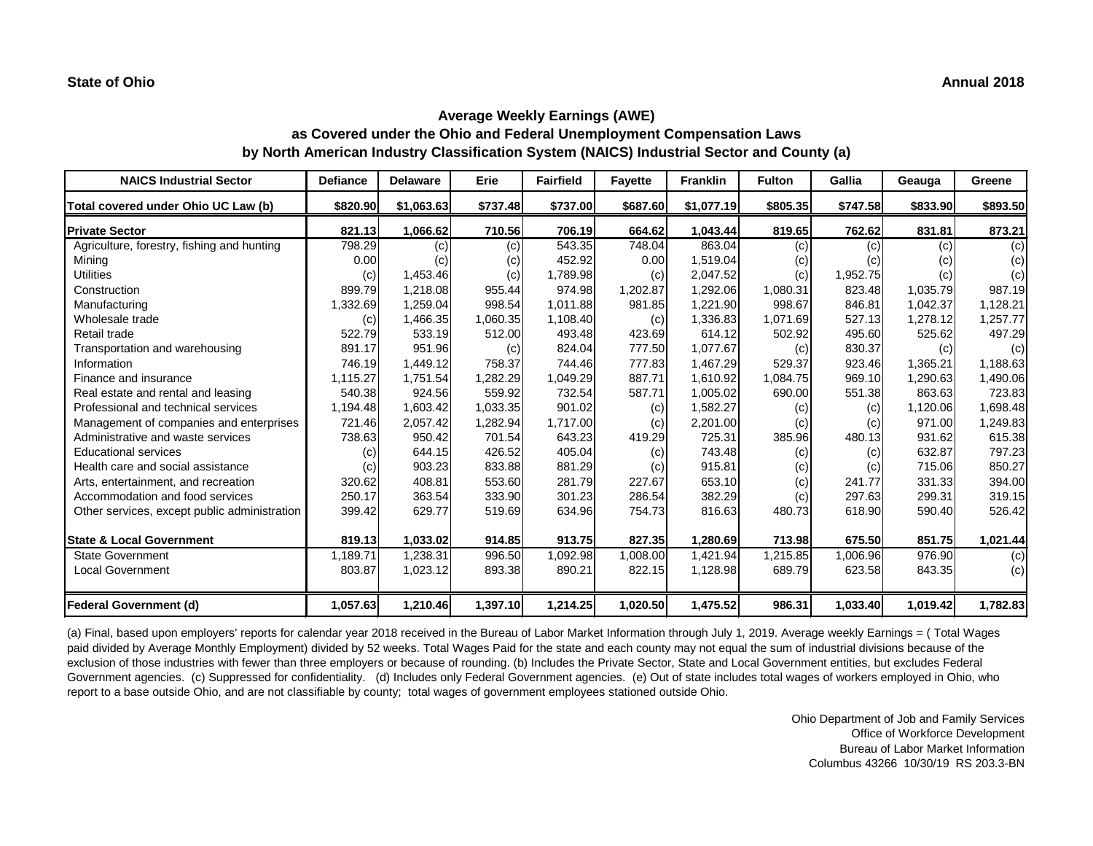| <b>NAICS Industrial Sector</b>               | <b>Defiance</b> | <b>Delaware</b> | <b>Erie</b> | <b>Fairfield</b> | <b>Fayette</b> | <b>Franklin</b> | <b>Fulton</b> | <b>Gallia</b> | Geauga   | Greene   |
|----------------------------------------------|-----------------|-----------------|-------------|------------------|----------------|-----------------|---------------|---------------|----------|----------|
| Total covered under Ohio UC Law (b)          | \$820.90        | \$1,063.63      | \$737.48    | \$737.00         | \$687.60       | \$1,077.19      | \$805.35      | \$747.58      | \$833.90 | \$893.50 |
| <b>Private Sector</b>                        | 821.13          | 1,066.62        | 710.56      | 706.19           | 664.62         | 1,043.44        | 819.65        | 762.62        | 831.81   | 873.21   |
| Agriculture, forestry, fishing and hunting   | 798.29          | (c)             | (c)         | 543.35           | 748.04         | 863.04          | (c)           | (c)           | (c)      | (c)      |
| Mining                                       | 0.00            | (c)             | (c)         | 452.92           | 0.00           | 1,519.04        | (c)           | (c)           | (c)      | (c)      |
| <b>Utilities</b>                             | (c)             | 1,453.46        | (c)         | 1,789.98         | (c)            | 2,047.52        | (c)           | 1,952.75      | (c)      | (c)      |
| Construction                                 | 899.79          | 1,218.08        | 955.44      | 974.98           | 1,202.87       | 1,292.06        | 1,080.31      | 823.48        | 1,035.79 | 987.19   |
| Manufacturing                                | 1,332.69        | 1,259.04        | 998.54      | 1,011.88         | 981.85         | 1,221.90        | 998.67        | 846.81        | 1,042.37 | 1,128.21 |
| Wholesale trade                              | (c)             | 1,466.35        | 1,060.35    | 1,108.40         | (c)            | 1,336.83        | 1,071.69      | 527.13        | 1,278.12 | ,257.77  |
| Retail trade                                 | 522.79          | 533.19          | 512.00      | 493.48           | 423.69         | 614.12          | 502.92        | 495.60        | 525.62   | 497.29   |
| Transportation and warehousing               | 891.17          | 951.96          | (c)         | 824.04           | 777.50         | 1,077.67        | (c)           | 830.37        | (c)      | (c)      |
| Information                                  | 746.19          | 1,449.12        | 758.37      | 744.46           | 777.83         | 1,467.29        | 529.37        | 923.46        | 1,365.21 | 1,188.63 |
| Finance and insurance                        | 1,115.27        | 1,751.54        | 1,282.29    | 1,049.29         | 887.71         | 1,610.92        | 1,084.75      | 969.10        | 1,290.63 | 1,490.06 |
| Real estate and rental and leasing           | 540.38          | 924.56          | 559.92      | 732.54           | 587.71         | 1,005.02        | 690.00        | 551.38        | 863.63   | 723.83   |
| Professional and technical services          | 1,194.48        | 1,603.42        | 1,033.35    | 901.02           | (c)            | 1,582.27        | (c)           | (c)           | 1,120.06 | 1,698.48 |
| Management of companies and enterprises      | 721.46          | 2,057.42        | 1,282.94    | 1,717.00         | (c)            | 2,201.00        | (c)           | (c)           | 971.00   | 1,249.83 |
| Administrative and waste services            | 738.63          | 950.42          | 701.54      | 643.23           | 419.29         | 725.31          | 385.96        | 480.13        | 931.62   | 615.38   |
| <b>Educational services</b>                  | (c)             | 644.15          | 426.52      | 405.04           | (c)            | 743.48          | (c)           | (c)           | 632.87   | 797.23   |
| Health care and social assistance            | (c)             | 903.23          | 833.88      | 881.29           | (c)            | 915.81          | (c)           | (c)           | 715.06   | 850.27   |
| Arts, entertainment, and recreation          | 320.62          | 408.81          | 553.60      | 281.79           | 227.67         | 653.10          | (c)           | 241.77        | 331.33   | 394.00   |
| Accommodation and food services              | 250.17          | 363.54          | 333.90      | 301.23           | 286.54         | 382.29          | (c)           | 297.63        | 299.31   | 319.15   |
| Other services, except public administration | 399.42          | 629.77          | 519.69      | 634.96           | 754.73         | 816.63          | 480.73        | 618.90        | 590.40   | 526.42   |
| <b>State &amp; Local Government</b>          | 819.13          | 1,033.02        | 914.85      | 913.75           | 827.35         | 1,280.69        | 713.98        | 675.50        | 851.75   | 1,021.44 |
| <b>State Government</b>                      | 1,189.71        | 1,238.31        | 996.50      | 1,092.98         | 1,008.00       | 1,421.94        | 1,215.85      | 1,006.96      | 976.90   | (c)      |
| <b>Local Government</b>                      | 803.87          | 1,023.12        | 893.38      | 890.21           | 822.15         | 1,128.98        | 689.79        | 623.58        | 843.35   | (c)      |
| Federal Government (d)                       | 1,057.63        | 1,210.46        | 1,397.10    | 1,214.25         | 1,020.50       | 1,475.52        | 986.31        | 1,033.40      | 1,019.42 | 1,782.83 |

(a) Final, based upon employers' reports for calendar year 2018 received in the Bureau of Labor Market Information through July 1, 2019. Average weekly Earnings = ( Total Wages paid divided by Average Monthly Employment) divided by 52 weeks. Total Wages Paid for the state and each county may not equal the sum of industrial divisions because of the exclusion of those industries with fewer than three employers or because of rounding. (b) Includes the Private Sector, State and Local Government entities, but excludes Federal Government agencies. (c) Suppressed for confidentiality. (d) Includes only Federal Government agencies. (e) Out of state includes total wages of workers employed in Ohio, who report to a base outside Ohio, and are not classifiable by county; total wages of government employees stationed outside Ohio.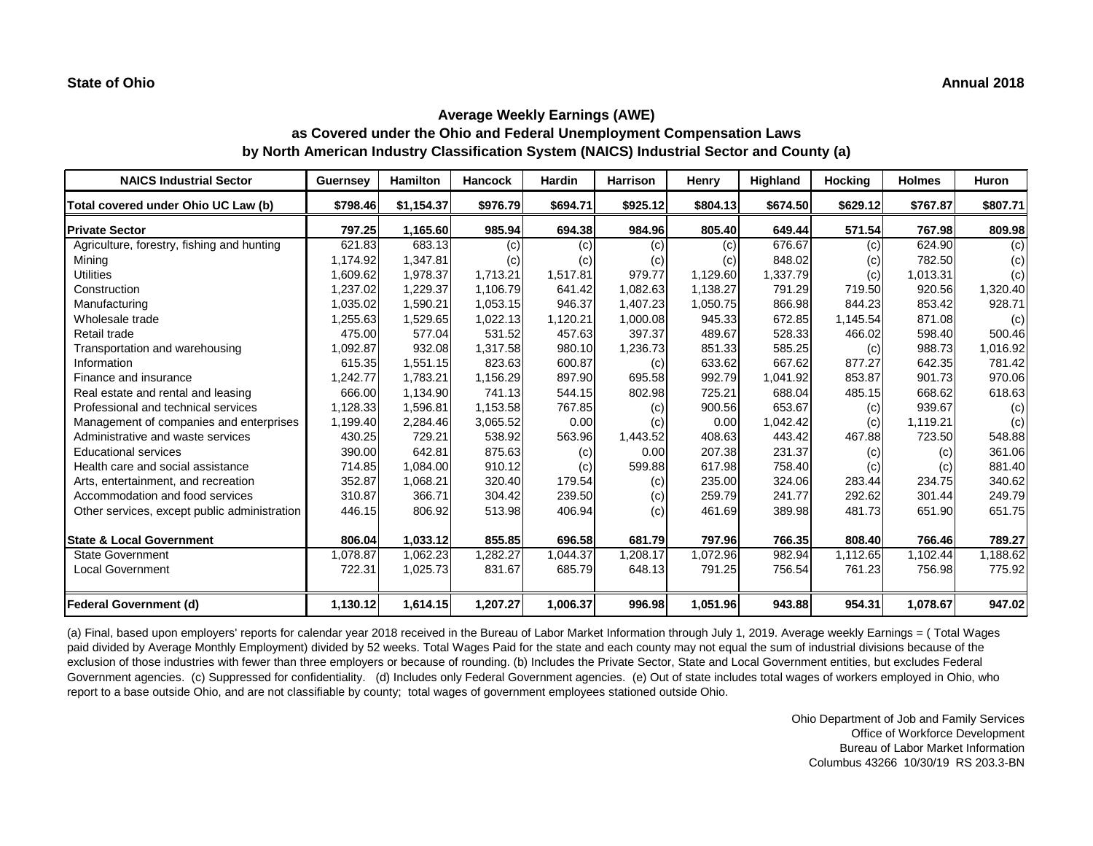| <b>NAICS Industrial Sector</b>               | <b>Guernsey</b> | <b>Hamilton</b> | <b>Hancock</b> | <b>Hardin</b> | <b>Harrison</b> | <b>Henry</b> | Highland | <b>Hocking</b> | <b>Holmes</b> | Huron    |
|----------------------------------------------|-----------------|-----------------|----------------|---------------|-----------------|--------------|----------|----------------|---------------|----------|
| Total covered under Ohio UC Law (b)          | \$798.46        | \$1,154.37      | \$976.79       | \$694.71      | \$925.12        | \$804.13     | \$674.50 | \$629.12       | \$767.87      | \$807.71 |
| <b>Private Sector</b>                        | 797.25          | 1,165.60        | 985.94         | 694.38        | 984.96          | 805.40       | 649.44   | 571.54         | 767.98        | 809.98   |
| Agriculture, forestry, fishing and hunting   | 621.83          | 683.13          | (c)            | (c)           | (c)             | (c)          | 676.67   | (c)            | 624.90        | (c)      |
| Mining                                       | 1,174.92        | 1,347.81        | (c)            | (c)           | (c)             | (c)          | 848.02   | (c)            | 782.50        | (c)      |
| <b>Utilities</b>                             | 1,609.62        | 1,978.37        | 1,713.21       | 1,517.81      | 979.77          | 1,129.60     | 1,337.79 | (c)            | 1,013.31      | (c)      |
| Construction                                 | 1,237.02        | 1,229.37        | 1,106.79       | 641.42        | 1,082.63        | 1,138.27     | 791.29   | 719.50         | 920.56        | 1,320.40 |
| Manufacturing                                | 1,035.02        | 1,590.21        | 1,053.15       | 946.37        | 1,407.23        | 1,050.75     | 866.98   | 844.23         | 853.42        | 928.71   |
| Wholesale trade                              | 1,255.63        | 1,529.65        | 1,022.13       | 1,120.21      | 1,000.08        | 945.33       | 672.85   | 1,145.54       | 871.08        | (c)      |
| Retail trade                                 | 475.00          | 577.04          | 531.52         | 457.63        | 397.37          | 489.67       | 528.33   | 466.02         | 598.40        | 500.46   |
| Transportation and warehousing               | 1,092.87        | 932.08          | 1,317.58       | 980.10        | 1,236.73        | 851.33       | 585.25   | (c)            | 988.73        | 1,016.92 |
| Information                                  | 615.35          | 1,551.15        | 823.63         | 600.87        | (c)             | 633.62       | 667.62   | 877.27         | 642.35        | 781.42   |
| Finance and insurance                        | 1,242.77        | 1,783.21        | 1,156.29       | 897.90        | 695.58          | 992.79       | 1,041.92 | 853.87         | 901.73        | 970.06   |
| Real estate and rental and leasing           | 666.00          | 1,134.90        | 741.13         | 544.15        | 802.98          | 725.21       | 688.04   | 485.15         | 668.62        | 618.63   |
| Professional and technical services          | 1,128.33        | 1,596.81        | 1,153.58       | 767.85        | (c)             | 900.56       | 653.67   | (c)            | 939.67        | (c)      |
| Management of companies and enterprises      | 1,199.40        | 2,284.46        | 3,065.52       | 0.00          | (c)             | 0.00         | 1,042.42 | (c)            | 1,119.21      | (c)      |
| Administrative and waste services            | 430.25          | 729.21          | 538.92         | 563.96        | 1,443.52        | 408.63       | 443.42   | 467.88         | 723.50        | 548.88   |
| <b>Educational services</b>                  | 390.00          | 642.81          | 875.63         | (c)           | 0.00            | 207.38       | 231.37   | (c)            | (c)           | 361.06   |
| Health care and social assistance            | 714.85          | 1,084.00        | 910.12         | (c)           | 599.88          | 617.98       | 758.40   | (c)            | (c)           | 881.40   |
| Arts, entertainment, and recreation          | 352.87          | 1,068.21        | 320.40         | 179.54        | (c)             | 235.00       | 324.06   | 283.44         | 234.75        | 340.62   |
| Accommodation and food services              | 310.87          | 366.71          | 304.42         | 239.50        | (c)             | 259.79       | 241.77   | 292.62         | 301.44        | 249.79   |
| Other services, except public administration | 446.15          | 806.92          | 513.98         | 406.94        | (c)             | 461.69       | 389.98   | 481.73         | 651.90        | 651.75   |
| <b>State &amp; Local Government</b>          | 806.04          | 1,033.12        | 855.85         | 696.58        | 681.79          | 797.96       | 766.35   | 808.40         | 766.46        | 789.27   |
| <b>State Government</b>                      | 1,078.87        | 1,062.23        | 1,282.27       | 1,044.37      | 1,208.17        | 1,072.96     | 982.94   | 1,112.65       | 1,102.44      | 1,188.62 |
| <b>Local Government</b>                      | 722.31          | 1,025.73        | 831.67         | 685.79        | 648.13          | 791.25       | 756.54   | 761.23         | 756.98        | 775.92   |
| Federal Government (d)                       | 1,130.12        | 1,614.15        | 1,207.27       | 1,006.37      | 996.98          | 1,051.96     | 943.88   | 954.31         | 1,078.67      | 947.02   |

(a) Final, based upon employers' reports for calendar year 2018 received in the Bureau of Labor Market Information through July 1, 2019. Average weekly Earnings = ( Total Wages paid divided by Average Monthly Employment) divided by 52 weeks. Total Wages Paid for the state and each county may not equal the sum of industrial divisions because of the exclusion of those industries with fewer than three employers or because of rounding. (b) Includes the Private Sector, State and Local Government entities, but excludes Federal Government agencies. (c) Suppressed for confidentiality. (d) Includes only Federal Government agencies. (e) Out of state includes total wages of workers employed in Ohio, who report to a base outside Ohio, and are not classifiable by county; total wages of government employees stationed outside Ohio.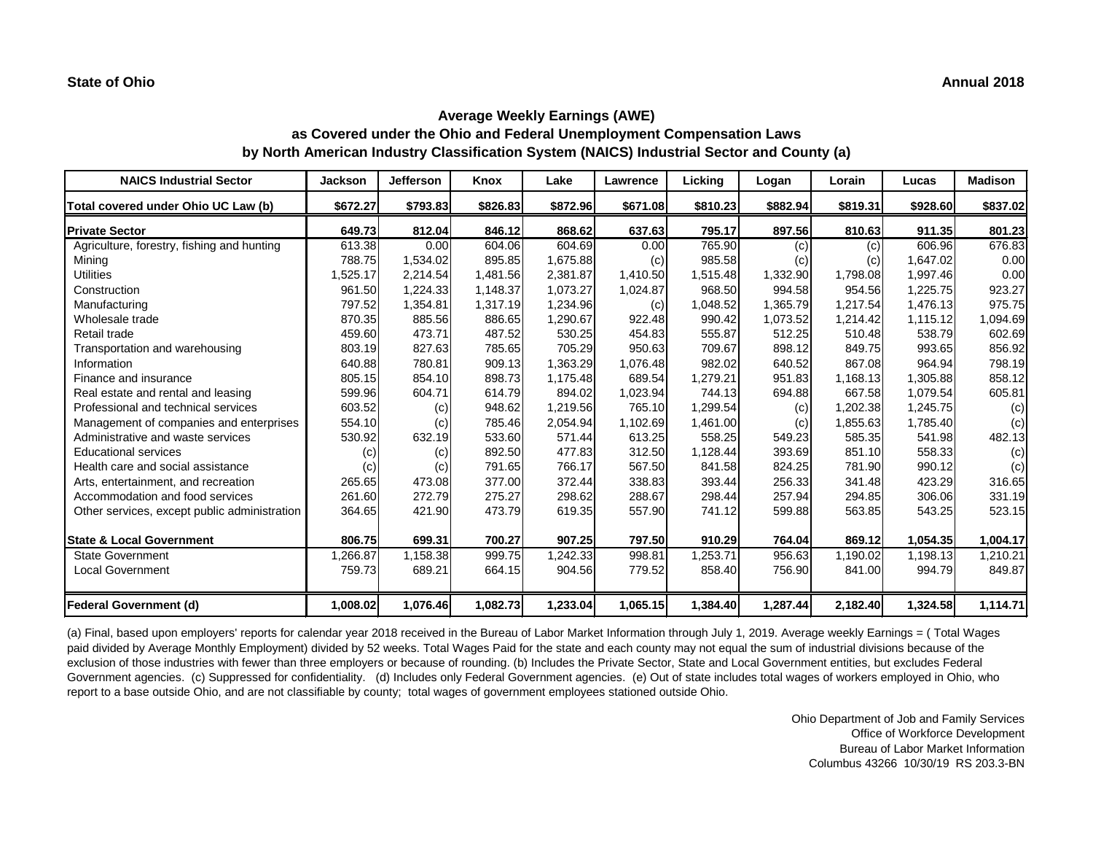| <b>NAICS Industrial Sector</b>               | <b>Jackson</b> | Jefferson | Knox     | Lake     | Lawrence | Licking  | Logan    | Lorain   | Lucas    | <b>Madison</b> |
|----------------------------------------------|----------------|-----------|----------|----------|----------|----------|----------|----------|----------|----------------|
| Total covered under Ohio UC Law (b)          | \$672.27       | \$793.83  | \$826.83 | \$872.96 | \$671.08 | \$810.23 | \$882.94 | \$819.31 | \$928.60 | \$837.02       |
| <b>Private Sector</b>                        | 649.73         | 812.04    | 846.12   | 868.62   | 637.63   | 795.17   | 897.56   | 810.63   | 911.35   | 801.23         |
| Agriculture, forestry, fishing and hunting   | 613.38         | 0.00      | 604.06   | 604.69   | 0.00     | 765.90   | (c)      | (c)      | 606.96   | 676.83         |
| Mining                                       | 788.75         | 1,534.02  | 895.85   | 1,675.88 | (c)      | 985.58   | (c)      | (c)      | 1,647.02 | 0.00           |
| <b>Utilities</b>                             | 1,525.17       | 2,214.54  | 1,481.56 | 2,381.87 | 1,410.50 | 1,515.48 | 1,332.90 | 1,798.08 | 1,997.46 | 0.00           |
| Construction                                 | 961.50         | 1,224.33  | 1,148.37 | 1,073.27 | 1,024.87 | 968.50   | 994.58   | 954.56   | 1,225.75 | 923.27         |
| Manufacturing                                | 797.52         | 1,354.81  | 1,317.19 | 1,234.96 | (c)      | 1,048.52 | 1,365.79 | 1,217.54 | 1,476.13 | 975.75         |
| Wholesale trade                              | 870.35         | 885.56    | 886.65   | 1,290.67 | 922.48   | 990.42   | 1,073.52 | 1,214.42 | 1,115.12 | 1,094.69       |
| Retail trade                                 | 459.60         | 473.71    | 487.52   | 530.25   | 454.83   | 555.87   | 512.25   | 510.48   | 538.79   | 602.69         |
| Transportation and warehousing               | 803.19         | 827.63    | 785.65   | 705.29   | 950.63   | 709.67   | 898.12   | 849.75   | 993.65   | 856.92         |
| Information                                  | 640.88         | 780.81    | 909.13   | 1,363.29 | 1,076.48 | 982.02   | 640.52   | 867.08   | 964.94   | 798.19         |
| Finance and insurance                        | 805.15         | 854.10    | 898.73   | 1,175.48 | 689.54   | 1,279.21 | 951.83   | 1,168.13 | 1,305.88 | 858.12         |
| Real estate and rental and leasing           | 599.96         | 604.71    | 614.79   | 894.02   | 1,023.94 | 744.13   | 694.88   | 667.58   | 1,079.54 | 605.81         |
| Professional and technical services          | 603.52         | (c)       | 948.62   | 1,219.56 | 765.10   | 1,299.54 | (c)      | 1,202.38 | 1,245.75 | (c)            |
| Management of companies and enterprises      | 554.10         | (c)       | 785.46   | 2,054.94 | 1,102.69 | 1,461.00 | (c)      | 1,855.63 | 1,785.40 | (c)            |
| Administrative and waste services            | 530.92         | 632.19    | 533.60   | 571.44   | 613.25   | 558.25   | 549.23   | 585.35   | 541.98   | 482.13         |
| <b>Educational services</b>                  | (c)            | (c)       | 892.50   | 477.83   | 312.50   | 1,128.44 | 393.69   | 851.10   | 558.33   | (c)            |
| Health care and social assistance            | (c)            | (c)       | 791.65   | 766.17   | 567.50   | 841.58   | 824.25   | 781.90   | 990.12   | (c)            |
| Arts, entertainment, and recreation          | 265.65         | 473.08    | 377.00   | 372.44   | 338.83   | 393.44   | 256.33   | 341.48   | 423.29   | 316.65         |
| Accommodation and food services              | 261.60         | 272.79    | 275.27   | 298.62   | 288.67   | 298.44   | 257.94   | 294.85   | 306.06   | 331.19         |
| Other services, except public administration | 364.65         | 421.90    | 473.79   | 619.35   | 557.90   | 741.12   | 599.88   | 563.85   | 543.25   | 523.15         |
| <b>State &amp; Local Government</b>          | 806.75         | 699.31    | 700.27   | 907.25   | 797.50   | 910.29   | 764.04   | 869.12   | 1,054.35 | 1,004.17       |
| <b>State Government</b>                      | 1,266.87       | 1,158.38  | 999.75   | 1,242.33 | 998.81   | 1,253.71 | 956.63   | 1,190.02 | 1,198.13 | 1,210.21       |
| <b>Local Government</b>                      | 759.73         | 689.21    | 664.15   | 904.56   | 779.52   | 858.40   | 756.90   | 841.00   | 994.79   | 849.87         |
| <b>Federal Government (d)</b>                | 1,008.02       | 1,076.46  | 1,082.73 | 1,233.04 | 1,065.15 | 1,384.40 | 1,287.44 | 2,182.40 | 1,324.58 | 1,114.71       |

(a) Final, based upon employers' reports for calendar year 2018 received in the Bureau of Labor Market Information through July 1, 2019. Average weekly Earnings = ( Total Wages paid divided by Average Monthly Employment) divided by 52 weeks. Total Wages Paid for the state and each county may not equal the sum of industrial divisions because of the exclusion of those industries with fewer than three employers or because of rounding. (b) Includes the Private Sector, State and Local Government entities, but excludes Federal Government agencies. (c) Suppressed for confidentiality. (d) Includes only Federal Government agencies. (e) Out of state includes total wages of workers employed in Ohio, who report to a base outside Ohio, and are not classifiable by county; total wages of government employees stationed outside Ohio.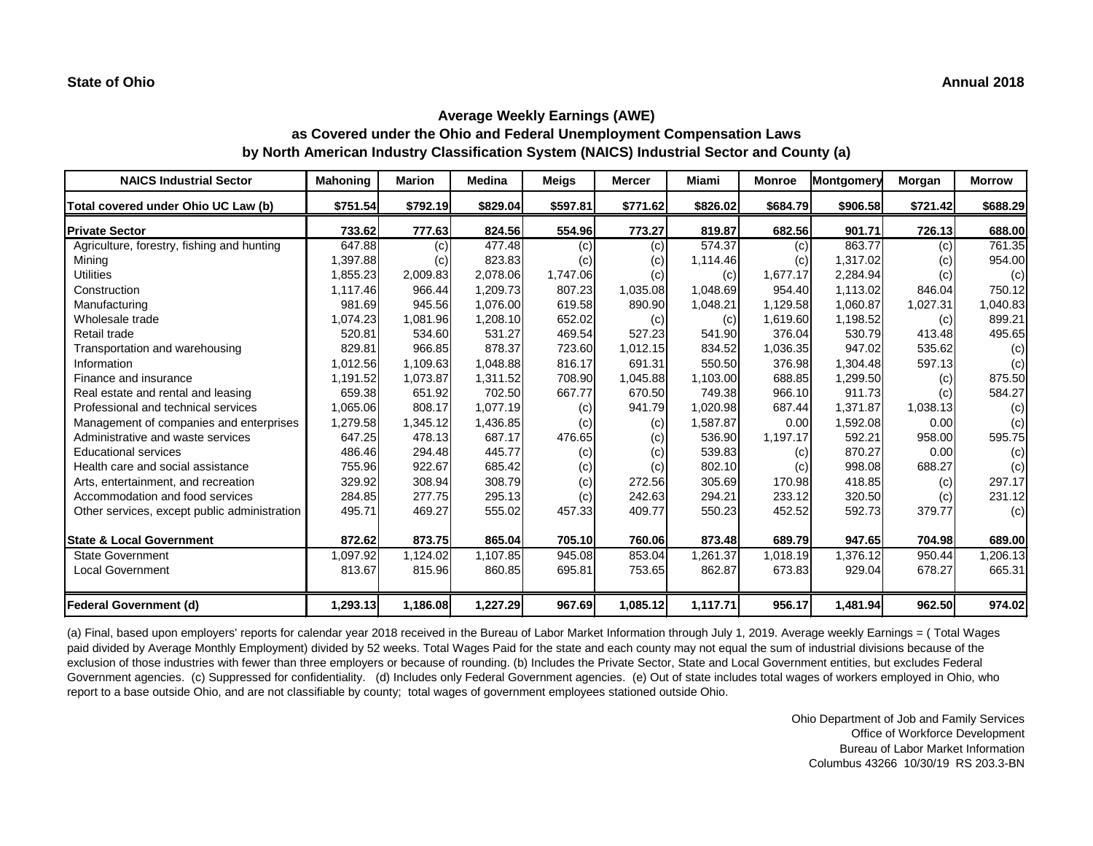| <b>NAICS Industrial Sector</b>               | <b>Mahoning</b> | <b>Marion</b> | <b>Medina</b> | <b>Meigs</b> | <b>Mercer</b> | Miami    | <b>Monroe</b> | Montgomery | Morgan   | <b>Morrow</b> |
|----------------------------------------------|-----------------|---------------|---------------|--------------|---------------|----------|---------------|------------|----------|---------------|
| Total covered under Ohio UC Law (b)          | \$751.54        | \$792.19      | \$829.04      | \$597.81     | \$771.62      | \$826.02 | \$684.79      | \$906.58   | \$721.42 | \$688.29      |
| <b>Private Sector</b>                        | 733.62          | 777.63        | 824.56        | 554.96       | 773.27        | 819.87   | 682.56        | 901.71     | 726.13   | 688.00        |
| Agriculture, forestry, fishing and hunting   | 647.88          | (c)           | 477.48        | (c)          | (c)           | 574.37   | (c)           | 863.77     | (c)      | 761.35        |
| Mining                                       | 1,397.88        | (c)           | 823.83        | (c)          | (c)           | 1,114.46 | (c)           | 1,317.02   | (c)      | 954.00        |
| <b>Utilities</b>                             | 1,855.23        | 2,009.83      | 2,078.06      | 1,747.06     | (c)           | (c)      | 1,677.17      | 2,284.94   | (c)      | (c)           |
| Construction                                 | 1,117.46        | 966.44        | 1,209.73      | 807.23       | 1,035.08      | 1,048.69 | 954.40        | 1,113.02   | 846.04   | 750.12        |
| Manufacturing                                | 981.69          | 945.56        | 1,076.00      | 619.58       | 890.90        | 1,048.21 | 1,129.58      | 1,060.87   | 1,027.31 | 1,040.83      |
| Wholesale trade                              | 1,074.23        | 1,081.96      | 1,208.10      | 652.02       | (c)           | (c)      | 1,619.60      | 1,198.52   | (c)      | 899.21        |
| Retail trade                                 | 520.81          | 534.60        | 531.27        | 469.54       | 527.23        | 541.90   | 376.04        | 530.79     | 413.48   | 495.65        |
| Transportation and warehousing               | 829.81          | 966.85        | 878.37        | 723.60       | 1,012.15      | 834.52   | 1,036.35      | 947.02     | 535.62   | (c)           |
| Information                                  | 1,012.56        | 1,109.63      | 1,048.88      | 816.17       | 691.31        | 550.50   | 376.98        | 1,304.48   | 597.13   | (c)           |
| Finance and insurance                        | 1,191.52        | 1,073.87      | 1,311.52      | 708.90       | 1,045.88      | 1,103.00 | 688.85        | 1,299.50   | (c)      | 875.50        |
| Real estate and rental and leasing           | 659.38          | 651.92        | 702.50        | 667.77       | 670.50        | 749.38   | 966.10        | 911.73     | (c)      | 584.27        |
| Professional and technical services          | 1,065.06        | 808.17        | 1,077.19      | (c)          | 941.79        | 1,020.98 | 687.44        | 1,371.87   | 1,038.13 | (c)           |
| Management of companies and enterprises      | 1,279.58        | 1,345.12      | 1,436.85      | (c)          | (c)           | 1,587.87 | 0.00          | 1,592.08   | 0.00     | (c)           |
| Administrative and waste services            | 647.25          | 478.13        | 687.17        | 476.65       | (c)           | 536.90   | 1,197.17      | 592.21     | 958.00   | 595.75        |
| <b>Educational services</b>                  | 486.46          | 294.48        | 445.77        | (c)          | (c)           | 539.83   | (c)           | 870.27     | 0.00     | (c)           |
| Health care and social assistance            | 755.96          | 922.67        | 685.42        | (c)          | (c)           | 802.10   | (c)           | 998.08     | 688.27   | (c)           |
| Arts, entertainment, and recreation          | 329.92          | 308.94        | 308.79        | (c)          | 272.56        | 305.69   | 170.98        | 418.85     | (c)      | 297.17        |
| Accommodation and food services              | 284.85          | 277.75        | 295.13        | (c)          | 242.63        | 294.21   | 233.12        | 320.50     | (c)      | 231.12        |
| Other services, except public administration | 495.71          | 469.27        | 555.02        | 457.33       | 409.77        | 550.23   | 452.52        | 592.73     | 379.77   | (c)           |
| <b>State &amp; Local Government</b>          | 872.62          | 873.75        | 865.04        | 705.10       | 760.06        | 873.48   | 689.79        | 947.65     | 704.98   | 689.00        |
| <b>State Government</b>                      | 1,097.92        | 1,124.02      | 1,107.85      | 945.08       | 853.04        | 1,261.37 | 1,018.19      | 1,376.12   | 950.44   | ,206.13       |
| Local Government                             | 813.67          | 815.96        | 860.85        | 695.81       | 753.65        | 862.87   | 673.83        | 929.04     | 678.27   | 665.31        |
| <b>Federal Government (d)</b>                | 1,293.13        | 1,186.08      | 1,227.29      | 967.69       | 1,085.12      | 1,117.71 | 956.17        | 1,481.94   | 962.50   | 974.02        |

(a) Final, based upon employers' reports for calendar year 2018 received in the Bureau of Labor Market Information through July 1, 2019. Average weekly Earnings = ( Total Wages paid divided by Average Monthly Employment) divided by 52 weeks. Total Wages Paid for the state and each county may not equal the sum of industrial divisions because of the exclusion of those industries with fewer than three employers or because of rounding. (b) Includes the Private Sector, State and Local Government entities, but excludes Federal Government agencies. (c) Suppressed for confidentiality. (d) Includes only Federal Government agencies. (e) Out of state includes total wages of workers employed in Ohio, who report to a base outside Ohio, and are not classifiable by county; total wages of government employees stationed outside Ohio.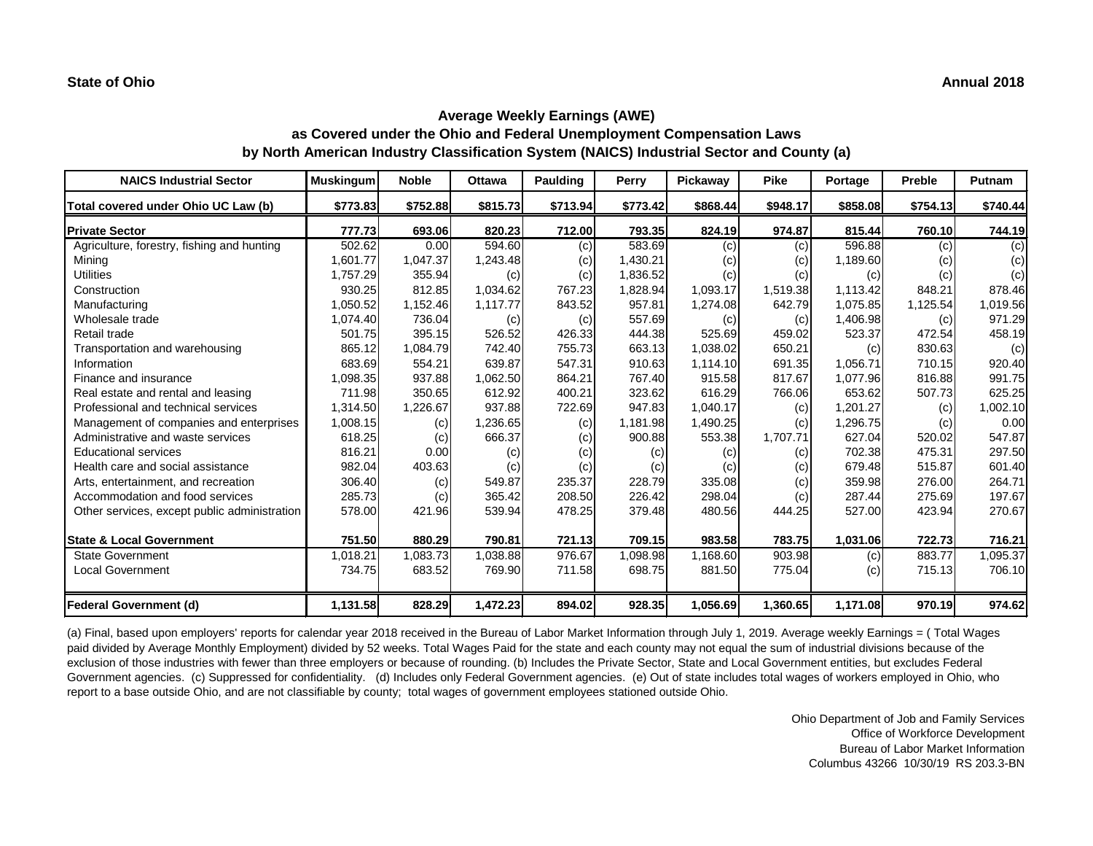| <b>NAICS Industrial Sector</b>               | <b>Muskingum</b> | <b>Noble</b> | <b>Ottawa</b> | <b>Paulding</b> | Perry    | Pickaway | <b>Pike</b> | Portage  | <b>Preble</b> | <b>Putnam</b> |
|----------------------------------------------|------------------|--------------|---------------|-----------------|----------|----------|-------------|----------|---------------|---------------|
| Total covered under Ohio UC Law (b)          | \$773.83         | \$752.88     | \$815.73      | \$713.94        | \$773.42 | \$868.44 | \$948.17    | \$858.08 | \$754.13      | \$740.44      |
| <b>Private Sector</b>                        | 777.73           | 693.06       | 820.23        | 712.00          | 793.35   | 824.19   | 974.87      | 815.44   | 760.10        | 744.19        |
| Agriculture, forestry, fishing and hunting   | 502.62           | 0.00         | 594.60        | (c)             | 583.69   | (c)      | (c)         | 596.88   | (c)           | (c)           |
| Mining                                       | 1,601.77         | 1,047.37     | 1,243.48      | (c)             | 1,430.21 | (c)      | (c)         | 1,189.60 | (c)           | (c)           |
| <b>Utilities</b>                             | 1,757.29         | 355.94       | (c)           | (c)             | 1,836.52 | (c)      | (c)         | (c)      | (c)           | (c)           |
| Construction                                 | 930.25           | 812.85       | 1,034.62      | 767.23          | 1,828.94 | 1,093.17 | 1,519.38    | 1,113.42 | 848.21        | 878.46        |
| Manufacturing                                | 1,050.52         | 1,152.46     | 1,117.77      | 843.52          | 957.81   | 1,274.08 | 642.79      | 1,075.85 | 1,125.54      | 1,019.56      |
| Wholesale trade                              | 1,074.40         | 736.04       | (c)           | (c)             | 557.69   | (c)      | (c)         | 1,406.98 | (c)           | 971.29        |
| Retail trade                                 | 501.75           | 395.15       | 526.52        | 426.33          | 444.38   | 525.69   | 459.02      | 523.37   | 472.54        | 458.19        |
| Transportation and warehousing               | 865.12           | 1,084.79     | 742.40        | 755.73          | 663.13   | 1,038.02 | 650.21      | (c)      | 830.63        | (c)           |
| Information                                  | 683.69           | 554.21       | 639.87        | 547.31          | 910.63   | 1,114.10 | 691.35      | 1,056.71 | 710.15        | 920.40        |
| Finance and insurance                        | 1,098.35         | 937.88       | 1,062.50      | 864.21          | 767.40   | 915.58   | 817.67      | 1,077.96 | 816.88        | 991.75        |
| Real estate and rental and leasing           | 711.98           | 350.65       | 612.92        | 400.21          | 323.62   | 616.29   | 766.06      | 653.62   | 507.73        | 625.25        |
| Professional and technical services          | 1,314.50         | 1,226.67     | 937.88        | 722.69          | 947.83   | 1,040.17 | (c)         | 1,201.27 | (c)           | 1,002.10      |
| Management of companies and enterprises      | 1,008.15         | (c)          | 1,236.65      | (c)             | 1,181.98 | 1,490.25 | (c)         | 1,296.75 | (c)           | 0.00          |
| Administrative and waste services            | 618.25           | (c)          | 666.37        | (c)             | 900.88   | 553.38   | 1,707.71    | 627.04   | 520.02        | 547.87        |
| <b>Educational services</b>                  | 816.21           | 0.00         | (c)           | (c)             | (c)      | (c)      | (c)         | 702.38   | 475.31        | 297.50        |
| Health care and social assistance            | 982.04           | 403.63       | (c)           | (c)             | (c)      | (c)      | (c)         | 679.48   | 515.87        | 601.40        |
| Arts, entertainment, and recreation          | 306.40           | (c)          | 549.87        | 235.37          | 228.79   | 335.08   | (c)         | 359.98   | 276.00        | 264.71        |
| Accommodation and food services              | 285.73           | (c)          | 365.42        | 208.50          | 226.42   | 298.04   | (c)         | 287.44   | 275.69        | 197.67        |
| Other services, except public administration | 578.00           | 421.96       | 539.94        | 478.25          | 379.48   | 480.56   | 444.25      | 527.00   | 423.94        | 270.67        |
| <b>State &amp; Local Government</b>          | 751.50           | 880.29       | 790.81        | 721.13          | 709.15   | 983.58   | 783.75      | 1,031.06 | 722.73        | 716.21        |
| <b>State Government</b>                      | 1,018.21         | 1,083.73     | 1,038.88      | 976.67          | 1,098.98 | 1,168.60 | 903.98      | (c)      | 883.77        | ,095.37       |
| <b>Local Government</b>                      | 734.75           | 683.52       | 769.90        | 711.58          | 698.75   | 881.50   | 775.04      | (c)      | 715.13        | 706.10        |
| Federal Government (d)                       | 1,131.58         | 828.29       | 1,472.23      | 894.02          | 928.35   | 1,056.69 | 1,360.65    | 1,171.08 | 970.19        | 974.62        |

(a) Final, based upon employers' reports for calendar year 2018 received in the Bureau of Labor Market Information through July 1, 2019. Average weekly Earnings = ( Total Wages paid divided by Average Monthly Employment) divided by 52 weeks. Total Wages Paid for the state and each county may not equal the sum of industrial divisions because of the exclusion of those industries with fewer than three employers or because of rounding. (b) Includes the Private Sector, State and Local Government entities, but excludes Federal Government agencies. (c) Suppressed for confidentiality. (d) Includes only Federal Government agencies. (e) Out of state includes total wages of workers employed in Ohio, who report to a base outside Ohio, and are not classifiable by county; total wages of government employees stationed outside Ohio.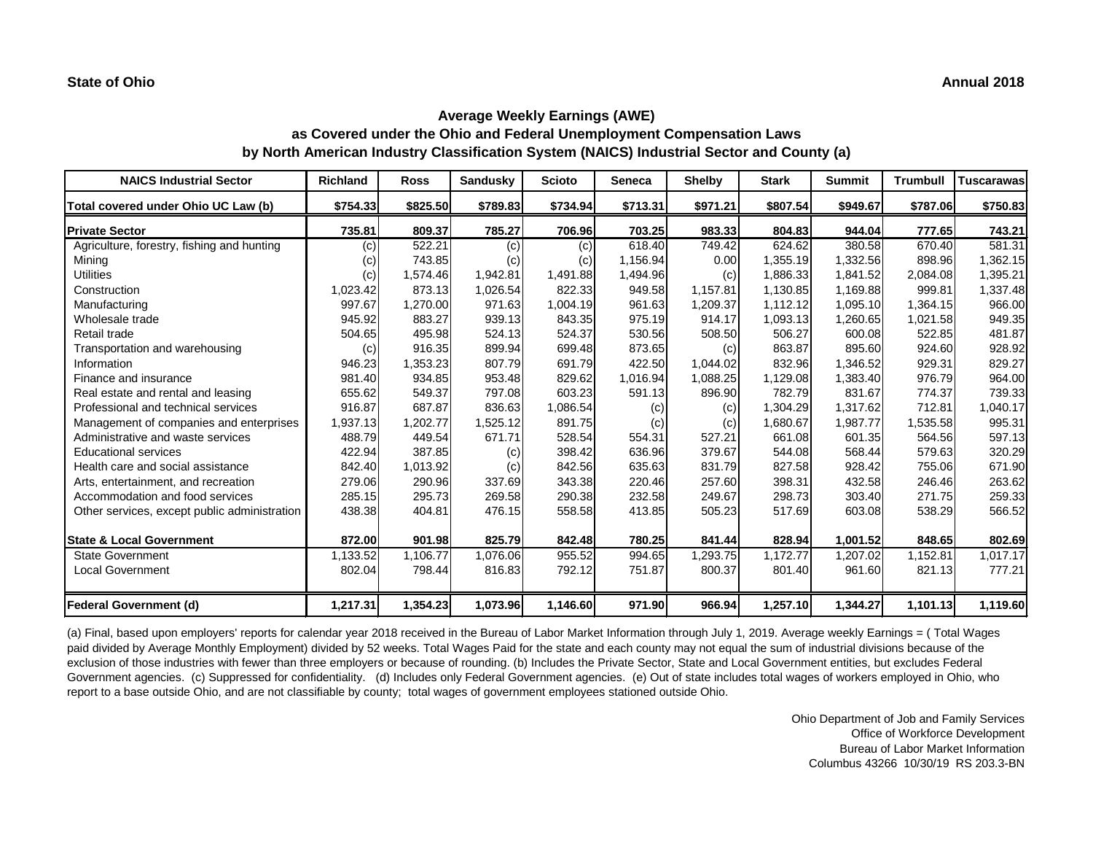| <b>NAICS Industrial Sector</b>               | <b>Richland</b> | <b>Ross</b> | <b>Sandusky</b> | <b>Scioto</b> | <b>Seneca</b> | <b>Shelby</b> | <b>Stark</b> | <b>Summit</b> | <b>Trumbull</b> | <b>Tuscarawas</b> |
|----------------------------------------------|-----------------|-------------|-----------------|---------------|---------------|---------------|--------------|---------------|-----------------|-------------------|
| Total covered under Ohio UC Law (b)          | \$754.33        | \$825.50    | \$789.83        | \$734.94      | \$713.31      | \$971.21      | \$807.54     | \$949.67      | \$787.06        | \$750.83          |
| <b>Private Sector</b>                        | 735.81          | 809.37      | 785.27          | 706.96        | 703.25        | 983.33        | 804.83       | 944.04        | 777.65          | 743.21            |
| Agriculture, forestry, fishing and hunting   | (c)             | 522.21      | (c)             | (c)           | 618.40        | 749.42        | 624.62       | 380.58        | 670.40          | 581.31            |
| Mining                                       | (c)             | 743.85      | (c)             | (c)           | 1,156.94      | 0.00          | 1,355.19     | 1,332.56      | 898.96          | 1,362.15          |
| <b>Utilities</b>                             | (c)             | 1,574.46    | 1,942.81        | 1,491.88      | 1,494.96      | (c)           | 1,886.33     | 1,841.52      | 2,084.08        | 1,395.21          |
| Construction                                 | 1,023.42        | 873.13      | 1,026.54        | 822.33        | 949.58        | 1,157.81      | 1,130.85     | 1,169.88      | 999.81          | 1,337.48          |
| Manufacturing                                | 997.67          | 1,270.00    | 971.63          | 1,004.19      | 961.63        | 1,209.37      | 1,112.12     | 1,095.10      | 1,364.15        | 966.00            |
| Wholesale trade                              | 945.92          | 883.27      | 939.13          | 843.35        | 975.19        | 914.17        | 1,093.13     | 1,260.65      | 1,021.58        | 949.35            |
| Retail trade                                 | 504.65          | 495.98      | 524.13          | 524.37        | 530.56        | 508.50        | 506.27       | 600.08        | 522.85          | 481.87            |
| Transportation and warehousing               | (c)             | 916.35      | 899.94          | 699.48        | 873.65        | (c)           | 863.87       | 895.60        | 924.60          | 928.92            |
| Information                                  | 946.23          | 1,353.23    | 807.79          | 691.79        | 422.50        | 1,044.02      | 832.96       | 1,346.52      | 929.31          | 829.27            |
| Finance and insurance                        | 981.40          | 934.85      | 953.48          | 829.62        | 1,016.94      | 1,088.25      | 1,129.08     | 1,383.40      | 976.79          | 964.00            |
| Real estate and rental and leasing           | 655.62          | 549.37      | 797.08          | 603.23        | 591.13        | 896.90        | 782.79       | 831.67        | 774.37          | 739.33            |
| Professional and technical services          | 916.87          | 687.87      | 836.63          | 1,086.54      | (c)           | (c)           | 1,304.29     | 1,317.62      | 712.81          | 1,040.17          |
| Management of companies and enterprises      | 1,937.13        | 1,202.77    | 1,525.12        | 891.75        | (c)           | (c)           | 1,680.67     | 1,987.77      | 1,535.58        | 995.31            |
| Administrative and waste services            | 488.79          | 449.54      | 671.71          | 528.54        | 554.31        | 527.21        | 661.08       | 601.35        | 564.56          | 597.13            |
| <b>Educational services</b>                  | 422.94          | 387.85      | (c)             | 398.42        | 636.96        | 379.67        | 544.08       | 568.44        | 579.63          | 320.29            |
| Health care and social assistance            | 842.40          | 1,013.92    | (c)             | 842.56        | 635.63        | 831.79        | 827.58       | 928.42        | 755.06          | 671.90            |
| Arts, entertainment, and recreation          | 279.06          | 290.96      | 337.69          | 343.38        | 220.46        | 257.60        | 398.31       | 432.58        | 246.46          | 263.62            |
| Accommodation and food services              | 285.15          | 295.73      | 269.58          | 290.38        | 232.58        | 249.67        | 298.73       | 303.40        | 271.75          | 259.33            |
| Other services, except public administration | 438.38          | 404.81      | 476.15          | 558.58        | 413.85        | 505.23        | 517.69       | 603.08        | 538.29          | 566.52            |
| <b>State &amp; Local Government</b>          | 872.00          | 901.98      | 825.79          | 842.48        | 780.25        | 841.44        | 828.94       | 1,001.52      | 848.65          | 802.69            |
| <b>State Government</b>                      | 1,133.52        | 1,106.77    | 1,076.06        | 955.52        | 994.65        | 1,293.75      | 1,172.77     | 1,207.02      | 1,152.81        | 1,017.17          |
| <b>Local Government</b>                      | 802.04          | 798.44      | 816.83          | 792.12        | 751.87        | 800.37        | 801.40       | 961.60        | 821.13          | 777.21            |
| Federal Government (d)                       | 1,217.31        | 1,354.23    | 1,073.96        | 1,146.60      | 971.90        | 966.94        | 1,257.10     | 1,344.27      | 1,101.13        | 1,119.60          |

(a) Final, based upon employers' reports for calendar year 2018 received in the Bureau of Labor Market Information through July 1, 2019. Average weekly Earnings = ( Total Wages paid divided by Average Monthly Employment) divided by 52 weeks. Total Wages Paid for the state and each county may not equal the sum of industrial divisions because of the exclusion of those industries with fewer than three employers or because of rounding. (b) Includes the Private Sector, State and Local Government entities, but excludes Federal Government agencies. (c) Suppressed for confidentiality. (d) Includes only Federal Government agencies. (e) Out of state includes total wages of workers employed in Ohio, who report to a base outside Ohio, and are not classifiable by county; total wages of government employees stationed outside Ohio.